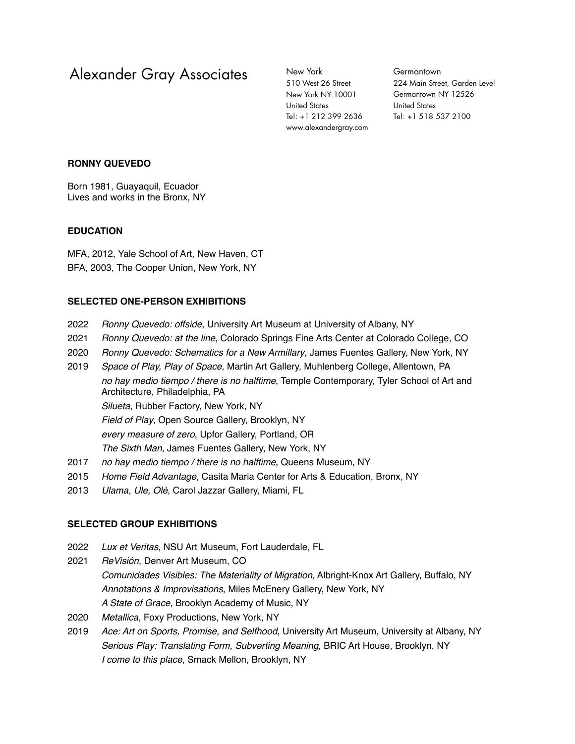Alexander Gray Associates New York

510 West 26 Street New York NY 10001 United States Tel: +1 212 399 2636 www.alexandergray.com **Germantown** 224 Main Street, Garden Level Germantown NY 12526 United States Tel: +1 518 537 2100

### **RONNY QUEVEDO**

Born 1981, Guayaquil, Ecuador Lives and works in the Bronx, NY

#### **EDUCATION**

MFA, 2012, Yale School of Art, New Haven, CT BFA, 2003, The Cooper Union, New York, NY

#### **SELECTED ONE-PERSON EXHIBITIONS**

- 2022 *Ronny Quevedo: offside*, University Art Museum at University of Albany, NY
- 2021 *Ronny Quevedo: at the line*, Colorado Springs Fine Arts Center at Colorado College, CO
- 2020 *Ronny Quevedo: Schematics for a New Armillary*, James Fuentes Gallery, New York, NY
- 2019 *Space of Play, Play of Space*, Martin Art Gallery, Muhlenberg College, Allentown, PA *no hay medio tiempo / there is no halftime*, Temple Contemporary, Tyler School of Art and Architecture, Philadelphia, PA *Silueta*, Rubber Factory, New York, NY *Field of Play*, Open Source Gallery, Brooklyn, NY

*every measure of zero*, Upfor Gallery, Portland, OR

*The Sixth Man*, James Fuentes Gallery, New York, NY

- 2017 *no hay medio tiempo / there is no halftime*, Queens Museum, NY
- 2015 *Home Field Advantage*, Casita Maria Center for Arts & Education, Bronx, NY
- 2013 *Ulama, Ule, Olé*, Carol Jazzar Gallery, Miami, FL

### **SELECTED GROUP EXHIBITIONS**

- 2022 *Lux et Veritas*, NSU Art Museum, Fort Lauderdale, FL
- 2021 *ReVisión*, Denver Art Museum, CO *Comunidades Visibles: The Materiality of Migration*, Albright-Knox Art Gallery, Buffalo, NY *Annotations & Improvisations*, Miles McEnery Gallery, New York, NY *A State of Grace*, Brooklyn Academy of Music, NY
- 2020 *Metallica*, Foxy Productions, New York, NY
- 2019 *Ace: Art on Sports, Promise, and Selfhood*, University Art Museum, University at Albany, NY *Serious Play: Translating Form, Subverting Meaning*, BRIC Art House, Brooklyn, NY *I come to this place*, Smack Mellon, Brooklyn, NY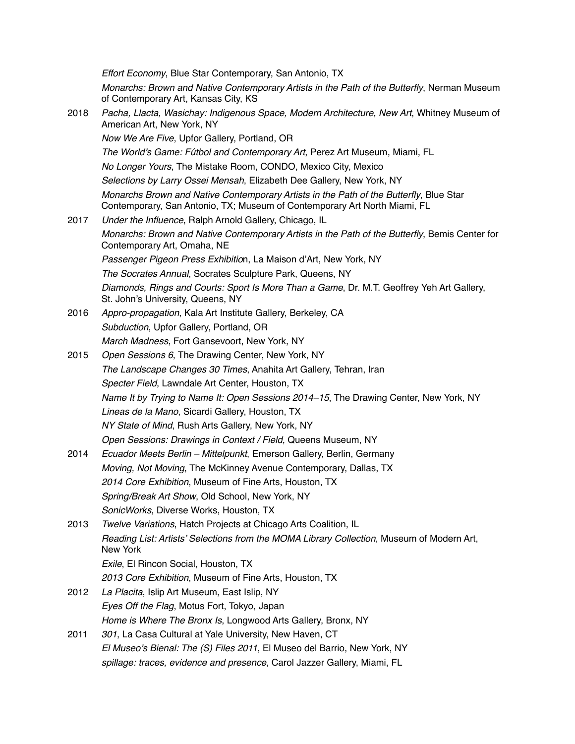*Effort Economy*, Blue Star Contemporary, San Antonio, TX *Monarchs: Brown and Native Contemporary Artists in the Path of the Butterfly*, Nerman Museum of Contemporary Art, Kansas City, KS 2018 *Pacha, Llacta, Wasichay: Indigenous Space, Modern Architecture, New Art*, Whitney Museum of American Art, New York, NY *Now We Are Five*, Upfor Gallery, Portland, OR *The World's Game: Fútbol and Contemporary Art*, Perez Art Museum, Miami, FL *No Longer Yours*, The Mistake Room, CONDO, Mexico City, Mexico *Selections by Larry Ossei Mensah*, Elizabeth Dee Gallery, New York, NY *Monarchs Brown and Native Contemporary Artists in the Path of the Butterfly*, Blue Star Contemporary, San Antonio, TX; Museum of Contemporary Art North Miami, FL 2017 *Under the Influence*, Ralph Arnold Gallery, Chicago, IL *Monarchs: Brown and Native Contemporary Artists in the Path of the Butterfly*, Bemis Center for Contemporary Art, Omaha, NE *Passenger Pigeon Press Exhibitio*n, La Maison d'Art, New York, NY *The Socrates Annual*, Socrates Sculpture Park, Queens, NY *Diamonds, Rings and Courts: Sport Is More Than a Game*, Dr. M.T. Geoffrey Yeh Art Gallery, St. John's University, Queens, NY 2016 *Appro-propagation*, Kala Art Institute Gallery, Berkeley, CA *Subduction*, Upfor Gallery, Portland, OR *March Madness*, Fort Gansevoort, New York, NY 2015 *Open Sessions 6*, The Drawing Center, New York, NY *The Landscape Changes 30 Times*, Anahita Art Gallery, Tehran, Iran *Specter Field*, Lawndale Art Center, Houston, TX *Name It by Trying to Name It: Open Sessions 2014–15*, The Drawing Center, New York, NY *Lineas de la Mano*, Sicardi Gallery, Houston, TX *NY State of Mind*, Rush Arts Gallery, New York, NY *Open Sessions: Drawings in Context / Field*, Queens Museum, NY 2014 *Ecuador Meets Berlin – Mittelpunkt*, Emerson Gallery, Berlin, Germany *Moving, Not Moving*, The McKinney Avenue Contemporary, Dallas, TX *2014 Core Exhibition*, Museum of Fine Arts, Houston, TX *Spring/Break Art Show*, Old School, New York, NY *SonicWorks*, Diverse Works, Houston, TX 2013 *Twelve Variations*, Hatch Projects at Chicago Arts Coalition, IL *Reading List: Artists' Selections from the MOMA Library Collection*, Museum of Modern Art, New York *Exile*, El Rincon Social, Houston, TX *2013 Core Exhibition*, Museum of Fine Arts, Houston, TX 2012 *La Placita*, Islip Art Museum, East Islip, NY *Eyes Off the Flag*, Motus Fort, Tokyo, Japan *Home is Where The Bronx Is*, Longwood Arts Gallery, Bronx, NY 2011 *301*, La Casa Cultural at Yale University, New Haven, CT *El Museo's Bienal: The (S) Files 2011*, El Museo del Barrio, New York, NY *spillage: traces, evidence and presence*, Carol Jazzer Gallery, Miami, FL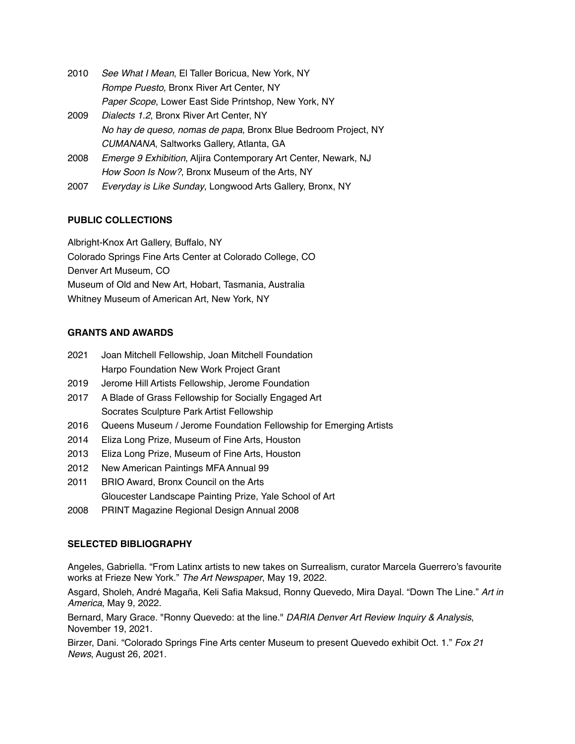- 2010 *See What I Mean*, El Taller Boricua, New York, NY *Rompe Puesto*, Bronx River Art Center, NY *Paper Scope*, Lower East Side Printshop, New York, NY
- 2009 *Dialects 1.2*, Bronx River Art Center, NY *No hay de queso, nomas de papa*, Bronx Blue Bedroom Project, NY *CUMANANA*, Saltworks Gallery, Atlanta, GA
- 2008 *Emerge 9 Exhibition*, Aljira Contemporary Art Center, Newark, NJ *How Soon Is Now?*, Bronx Museum of the Arts, NY
- 2007 *Everyday is Like Sunday*, Longwood Arts Gallery, Bronx, NY

# **PUBLIC COLLECTIONS**

Albright-Knox Art Gallery, Buffalo, NY Colorado Springs Fine Arts Center at Colorado College, CO Denver Art Museum, CO Museum of Old and New Art, Hobart, Tasmania, Australia Whitney Museum of American Art, New York, NY

## **GRANTS AND AWARDS**

- 2021 Joan Mitchell Fellowship, Joan Mitchell Foundation Harpo Foundation New Work Project Grant
- 2019 Jerome Hill Artists Fellowship, Jerome Foundation
- 2017 A Blade of Grass Fellowship for Socially Engaged Art Socrates Sculpture Park Artist Fellowship
- 2016 Queens Museum / Jerome Foundation Fellowship for Emerging Artists
- 2014 Eliza Long Prize, Museum of Fine Arts, Houston
- 2013 Eliza Long Prize, Museum of Fine Arts, Houston
- 2012 New American Paintings MFA Annual 99
- 2011 BRIO Award, Bronx Council on the Arts Gloucester Landscape Painting Prize, Yale School of Art
- 2008 PRINT Magazine Regional Design Annual 2008

# **SELECTED BIBLIOGRAPHY**

Angeles, Gabriella. "From Latinx artists to new takes on Surrealism, curator Marcela Guerrero's favourite works at Frieze New York." *The Art Newspaper*, May 19, 2022.

Asgard, Sholeh, André Magaña, Keli Safia Maksud, Ronny Quevedo, Mira Dayal. "Down The Line." *Art in America*, May 9, 2022.

Bernard, Mary Grace. "Ronny Quevedo: at the line." *DARIA Denver Art Review Inquiry & Analysis*, November 19, 2021.

Birzer, Dani. "Colorado Springs Fine Arts center Museum to present Quevedo exhibit Oct. 1." *Fox 21 News*, August 26, 2021.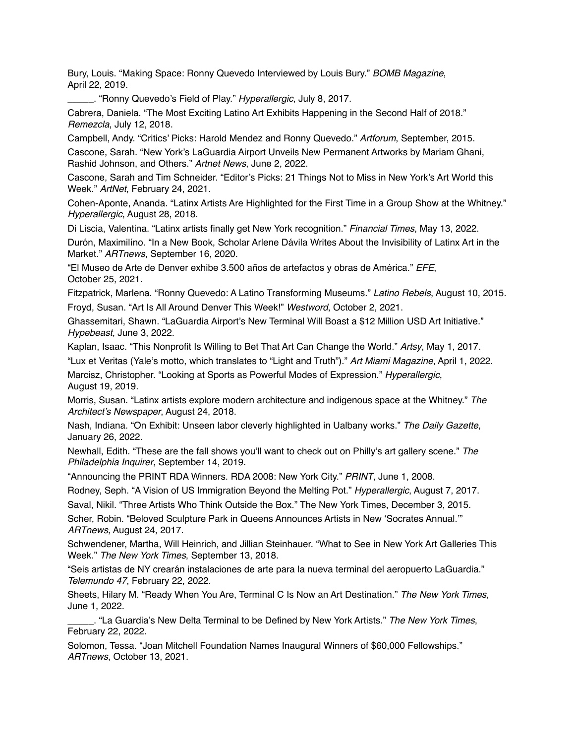Bury, Louis. "Making Space: Ronny Quevedo Interviewed by Louis Bury." *BOMB Magazine*, April 22, 2019.

\_\_\_\_\_. "Ronny Quevedo's Field of Play." *Hyperallergic*, July 8, 2017.

Cabrera, Daniela. "The Most Exciting Latino Art Exhibits Happening in the Second Half of 2018." *Remezcla*, July 12, 2018.

Campbell, Andy. "Critics' Picks: Harold Mendez and Ronny Quevedo." *Artforum*, September, 2015.

Cascone, Sarah. "New York's LaGuardia Airport Unveils New Permanent Artworks by Mariam Ghani, Rashid Johnson, and Others." *Artnet News*, June 2, 2022.

Cascone, Sarah and Tim Schneider. "Editor's Picks: 21 Things Not to Miss in New York's Art World this Week." *ArtNet*, February 24, 2021.

Cohen-Aponte, Ananda. "Latinx Artists Are Highlighted for the First Time in a Group Show at the Whitney." *Hyperallergic*, August 28, 2018.

Di Liscia, Valentina. "Latinx artists finally get New York recognition." *Financial Times*, May 13, 2022.

Durón, Maximilíno. "In a New Book, Scholar Arlene Dávila Writes About the Invisibility of Latinx Art in the Market." *ARTnews*, September 16, 2020.

"El Museo de Arte de Denver exhibe 3.500 años de artefactos y obras de América." *EFE*, October 25, 2021.

Fitzpatrick, Marlena. "Ronny Quevedo: A Latino Transforming Museums." *Latino Rebels*, August 10, 2015. Froyd, Susan. "Art Is All Around Denver This Week!" *Westword*, October 2, 2021.

Ghassemitari, Shawn. "LaGuardia Airport's New Terminal Will Boast a \$12 Million USD Art Initiative." *Hypebeast*, June 3, 2022.

Kaplan, Isaac. "This Nonprofit Is Willing to Bet That Art Can Change the World." *Artsy*, May 1, 2017.

"Lux et Veritas (Yale's motto, which translates to "Light and Truth")." *Art Miami Magazine*, April 1, 2022.

Marcisz, Christopher. "Looking at Sports as Powerful Modes of Expression." *Hyperallergic*, August 19, 2019.

Morris, Susan. "Latinx artists explore modern architecture and indigenous space at the Whitney." *The Architect's Newspaper*, August 24, 2018.

Nash, Indiana. "On Exhibit: Unseen labor cleverly highlighted in Ualbany works." *The Daily Gazette*, January 26, 2022.

Newhall, Edith. "These are the fall shows you'll want to check out on Philly's art gallery scene." *The Philadelphia Inquirer*, September 14, 2019.

"Announcing the PRINT RDA Winners. RDA 2008: New York City." *PRINT*, June 1, 2008.

Rodney, Seph. "A Vision of US Immigration Beyond the Melting Pot." *Hyperallergic*, August 7, 2017.

Saval, Nikil. "Three Artists Who Think Outside the Box." The New York Times, December 3, 2015.

Scher, Robin. "Beloved Sculpture Park in Queens Announces Artists in New 'Socrates Annual.'" *ARTnews*, August 24, 2017.

Schwendener, Martha, Will Heinrich, and Jillian Steinhauer. "What to See in New York Art Galleries This Week." *The New York Times*, September 13, 2018.

"Seis artistas de NY crearán instalaciones de arte para la nueva terminal del aeropuerto LaGuardia." *Telemundo 47*, February 22, 2022.

Sheets, Hilary M. "Ready When You Are, Terminal C Is Now an Art Destination." *The New York Times*, June 1, 2022.

\_\_\_\_\_. "La Guardia's New Delta Terminal to be Defined by New York Artists." *The New York Times*, February 22, 2022.

Solomon, Tessa. "Joan Mitchell Foundation Names Inaugural Winners of \$60,000 Fellowships." *ARTnews*, October 13, 2021.